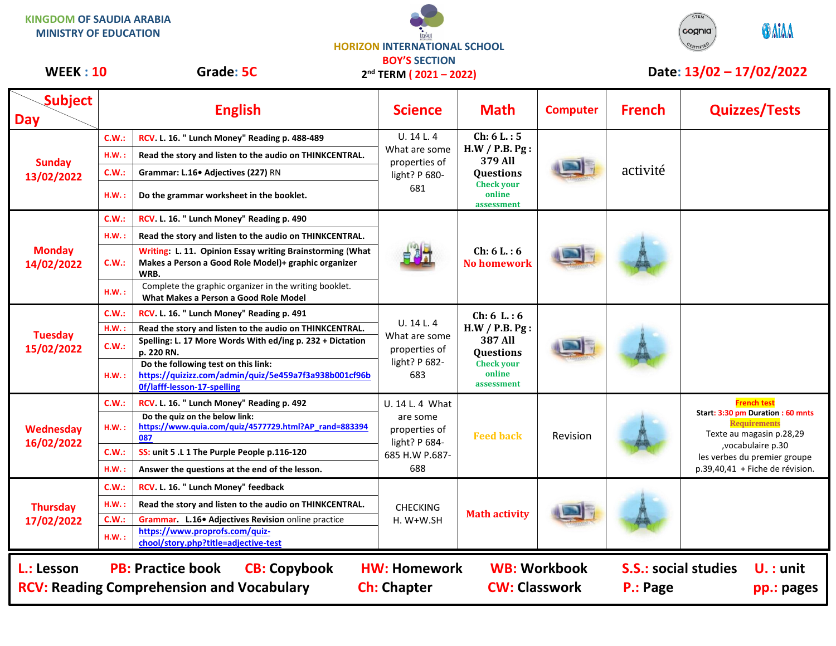**KINGDOM OF SAUDIA ARABIA MINISTRY OF EDUCATION**





## **Subject Day English Science Math Computer French Quizzes/Tests Sunday 13/02/2022 C.W.: RCV. L. 16. " Lunch Money" Reading p. 488-489 U. 14 L. 4** What are some properties of light? P 680- 681 **Ch: 6 L. : 5 H.W / P.B. Pg : 379 All Questions Check your online assessment** activité **H.W. : Read the story and listen to the audio on THINKCENTRAL. C.W.: Grammar: L.16• Adjectives (227)** RN **H.W. : Do the grammar worksheet in the booklet. Monday 14/02/2022 C.W.: RCV. L. 16. " Lunch Money" Reading p. 490 Ch: 6 L. : 6 No homework H.W. : Read the story and listen to the audio on THINKCENTRAL. C.W.: Writing: L. 11. Opinion Essay writing Brainstorming** (**What Makes a Person a Good Role Model)+ graphic organizer WRB. H.W. :** Complete the graphic organizer in the writing booklet. **What Makes a Person a Good Role Model Tuesday 15/02/2022 C.W.: RCV. L. 16. " Lunch Money" Reading p. 491** U. 14 L. 4 What are some properties of light? P 682- 683 **Ch: 6 L. : 6 H.W / P.B. Pg : 387 All Questions Check your online assessment H.W. : Read the story and listen to the audio on THINKCENTRAL. C.W.: Spelling: L. 17 More Words With ed/ing p. 232 + Dictation p. 220 RN. H.W. : Do the following test on this link: [https://quizizz.com/admin/quiz/5e459a7f3a938b001cf96b](https://quizizz.com/admin/quiz/5e459a7f3a938b001cf96b0f/lafff-lesson-17-spelling) [0f/lafff-lesson-17-spelling](https://quizizz.com/admin/quiz/5e459a7f3a938b001cf96b0f/lafff-lesson-17-spelling) Wednesday 16/02/2022 C.W.: RCV. L. 16. " Lunch Money" Reading p. 492** U. 14 L. 4 What are some properties of light? P 684- 685 H.W P.687- 688 **Feed back | Revision French test Start: 3:30 pm Duration : 60 mnts Requirements** Texte au magasin p.28,29 ,vocabulaire p.30 les verbes du premier groupe p.39,40,41 + Fiche de révision. **H.W. : Do the quiz on the below link: [https://www.quia.com/quiz/4577729.html?AP\\_rand=883394](https://www.quia.com/quiz/4577729.html?AP_rand=883394087) [087](https://www.quia.com/quiz/4577729.html?AP_rand=883394087) C.W.: SS: unit 5 .L 1 The Purple People p.116-120 H.W. : Answer the questions at the end of the lesson. Thursday 17/02/2022 C.W.: RCV. L. 16. " Lunch Money" feedback**  CHECKING H. W+W.SH **Math activity H.W. : Read the story and listen to the audio on THINKCENTRAL. C.W.: Grammar. L.16• Adjectives Revision** online practice **H.W. : [https://www.proprofs.com/quiz](https://www.proprofs.com/quiz-chool/story.php?title=adjective-test)[chool/story.php?title=adjective-test](https://www.proprofs.com/quiz-chool/story.php?title=adjective-test)** WEEK : 10 Grade: 5C 2<sup>nd</sup> TERM (2021 – 2022) Date: 13/02 – 17/02/2022 **L.: Lesson PB: Practice book CB: Copybook HW: Homework WB: Workbook S.S.: social studies U. : unit RCV: Reading Comprehension and Vocabulary and Ch: Chapter CW: Classwork P.: Page pp.: pages 2 nd TERM ( 2021 – 2022)**